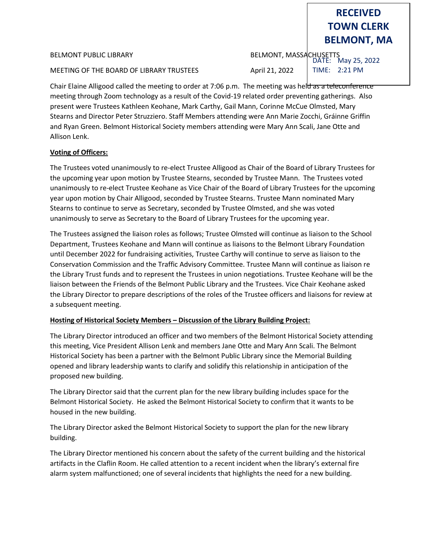#### BELMONT PUBLIC LIBRARY BELMONT, MASSACHUSETTS

MEETING OF THE BOARD OF LIBRARY TRUSTEES April 21, 2022

**TOWN CLERK BELMONT, MA**

**RECEIVED**

DATE: May 25, 2022 TIME: 2:21 PM

Chair Elaine Alligood called the meeting to order at 7:06 p.m. The meeting was held as a teleconference meeting through Zoom technology as a result of the Covid-19 related order preventing gatherings. Also present were Trustees Kathleen Keohane, Mark Carthy, Gail Mann, Corinne McCue Olmsted, Mary Stearns and Director Peter Struzziero. Staff Members attending were Ann Marie Zocchi, Gráinne Griffin and Ryan Green. Belmont Historical Society members attending were Mary Ann Scali, Jane Otte and Allison Lenk.

## **Voting of Officers:**

The Trustees voted unanimously to re-elect Trustee Alligood as Chair of the Board of Library Trustees for the upcoming year upon motion by Trustee Stearns, seconded by Trustee Mann. The Trustees voted unanimously to re-elect Trustee Keohane as Vice Chair of the Board of Library Trustees for the upcoming year upon motion by Chair Alligood, seconded by Trustee Stearns. Trustee Mann nominated Mary Stearns to continue to serve as Secretary, seconded by Trustee Olmsted, and she was voted unanimously to serve as Secretary to the Board of Library Trustees for the upcoming year.

The Trustees assigned the liaison roles as follows; Trustee Olmsted will continue as liaison to the School Department, Trustees Keohane and Mann will continue as liaisons to the Belmont Library Foundation until December 2022 for fundraising activities, Trustee Carthy will continue to serve as liaison to the Conservation Commission and the Traffic Advisory Committee. Trustee Mann will continue as liaison re the Library Trust funds and to represent the Trustees in union negotiations. Trustee Keohane will be the liaison between the Friends of the Belmont Public Library and the Trustees. Vice Chair Keohane asked the Library Director to prepare descriptions of the roles of the Trustee officers and liaisons for review at a subsequent meeting.

# **Hosting of Historical Society Members – Discussion of the Library Building Project:**

The Library Director introduced an officer and two members of the Belmont Historical Society attending this meeting, Vice President Allison Lenk and members Jane Otte and Mary Ann Scali. The Belmont Historical Society has been a partner with the Belmont Public Library since the Memorial Building opened and library leadership wants to clarify and solidify this relationship in anticipation of the proposed new building.

The Library Director said that the current plan for the new library building includes space for the Belmont Historical Society. He asked the Belmont Historical Society to confirm that it wants to be housed in the new building.

The Library Director asked the Belmont Historical Society to support the plan for the new library building.

The Library Director mentioned his concern about the safety of the current building and the historical artifacts in the Claflin Room. He called attention to a recent incident when the library's external fire alarm system malfunctioned; one of several incidents that highlights the need for a new building.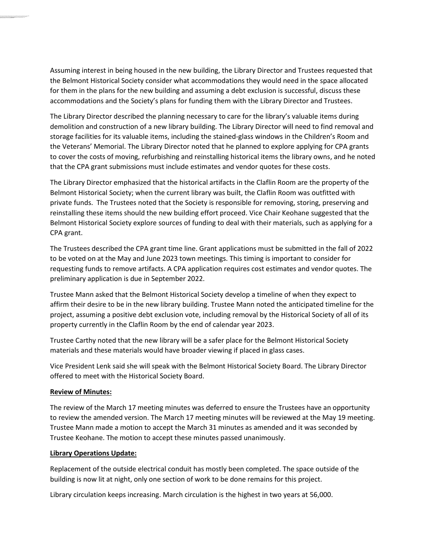Assuming interest in being housed in the new building, the Library Director and Trustees requested that the Belmont Historical Society consider what accommodations they would need in the space allocated for them in the plans for the new building and assuming a debt exclusion is successful, discuss these accommodations and the Society's plans for funding them with the Library Director and Trustees.

The Library Director described the planning necessary to care for the library's valuable items during demolition and construction of a new library building. The Library Director will need to find removal and storage facilities for its valuable items, including the stained-glass windows in the Children's Room and the Veterans' Memorial. The Library Director noted that he planned to explore applying for CPA grants to cover the costs of moving, refurbishing and reinstalling historical items the library owns, and he noted that the CPA grant submissions must include estimates and vendor quotes for these costs.

The Library Director emphasized that the historical artifacts in the Claflin Room are the property of the Belmont Historical Society; when the current library was built, the Claflin Room was outfitted with private funds. The Trustees noted that the Society is responsible for removing, storing, preserving and reinstalling these items should the new building effort proceed. Vice Chair Keohane suggested that the Belmont Historical Society explore sources of funding to deal with their materials, such as applying for a CPA grant.

The Trustees described the CPA grant time line. Grant applications must be submitted in the fall of 2022 to be voted on at the May and June 2023 town meetings. This timing is important to consider for requesting funds to remove artifacts. A CPA application requires cost estimates and vendor quotes. The preliminary application is due in September 2022.

Trustee Mann asked that the Belmont Historical Society develop a timeline of when they expect to affirm their desire to be in the new library building. Trustee Mann noted the anticipated timeline for the project, assuming a positive debt exclusion vote, including removal by the Historical Society of all of its property currently in the Claflin Room by the end of calendar year 2023.

Trustee Carthy noted that the new library will be a safer place for the Belmont Historical Society materials and these materials would have broader viewing if placed in glass cases.

Vice President Lenk said she will speak with the Belmont Historical Society Board. The Library Director offered to meet with the Historical Society Board.

#### **Review of Minutes:**

requesting funds to re move artifa cts. A CPC a pplicati on require s cost estimates a nd vendor quotes. The preliminary application is due in Se ptember 2022.

The review of the March 17 meeting minutes was deferred to ensure the Trustees have an opportunity to review the amended version. The March 17 meeting minutes will be reviewed at the May 19 meeting. Trustee Mann made a motion to accept the March 31 minutes as amended and it was seconded by Trustee Keohane. The motion to accept these minutes passed unanimously.

#### **Library Operations Update:**

Replacement of the outside electrical conduit has mostly been completed. The space outside of the building is now lit at night, only one section of work to be done remains for this project.

Library circulation keeps increasing. March circulation is the highest in two years at 56,000.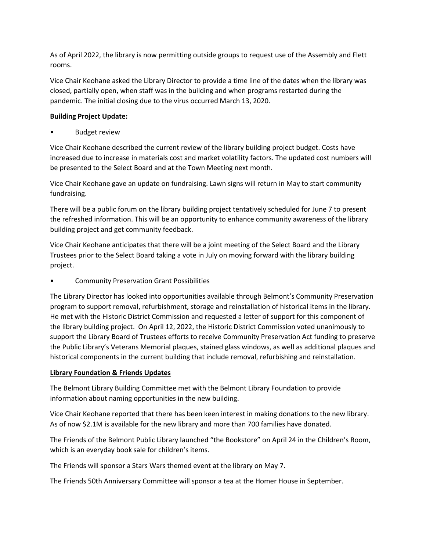As of April 2022, the library is now permitting outside groups to request use of the Assembly and Flett rooms.

Vice Chair Keohane asked the Library Director to provide a time line of the dates when the library was closed, partially open, when staff was in the building and when programs restarted during the pandemic. The initial closing due to the virus occurred March 13, 2020.

## **Building Project Update:**

• Budget review

Vice Chair Keohane described the current review of the library building project budget. Costs have increased due to increase in materials cost and market volatility factors. The updated cost numbers will be presented to the Select Board and at the Town Meeting next month.

Vice Chair Keohane gave an update on fundraising. Lawn signs will return in May to start community fundraising.

There will be a public forum on the library building project tentatively scheduled for June 7 to present the refreshed information. This will be an opportunity to enhance community awareness of the library building project and get community feedback.

Vice Chair Keohane anticipates that there will be a joint meeting of the Select Board and the Library Trustees prior to the Select Board taking a vote in July on moving forward with the library building project.

• Community Preservation Grant Possibilities

The Library Director has looked into opportunities available through Belmont's Community Preservation program to support removal, refurbishment, storage and reinstallation of historical items in the library. He met with the Historic District Commission and requested a letter of support for this component of the library building project. On April 12, 2022, the Historic District Commission voted unanimously to support the Library Board of Trustees efforts to receive Community Preservation Act funding to preserve the Public Library's Veterans Memorial plaques, stained glass windows, as well as additional plaques and historical components in the current building that include removal, refurbishing and reinstallation.

## **Library Foundation & Friends Updates**

The Belmont Library Building Committee met with the Belmont Library Foundation to provide information about naming opportunities in the new building.

Vice Chair Keohane reported that there has been keen interest in making donations to the new library. As of now \$2.1M is available for the new library and more than 700 families have donated.

The Friends of the Belmont Public Library launched "the Bookstore" on April 24 in the Children's Room, which is an everyday book sale for children's items.

The Friends will sponsor a Stars Wars themed event at the library on May 7.

The Friends 50th Anniversary Committee will sponsor a tea at the Homer House in September.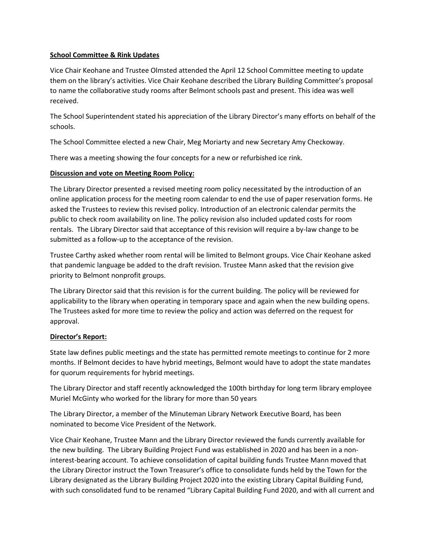### **School Committee & Rink Updates**

Vice Chair Keohane and Trustee Olmsted attended the April 12 School Committee meeting to update them on the library's activities. Vice Chair Keohane described the Library Building Committee's proposal to name the collaborative study rooms after Belmont schools past and present. This idea was well received.

The School Superintendent stated his appreciation of the Library Director's many efforts on behalf of the schools.

The School Committee elected a new Chair, Meg Moriarty and new Secretary Amy Checkoway.

There was a meeting showing the four concepts for a new or refurbished ice rink.

### **Discussion and vote on Meeting Room Policy:**

The Library Director presented a revised meeting room policy necessitated by the introduction of an online application process for the meeting room calendar to end the use of paper reservation forms. He asked the Trustees to review this revised policy. Introduction of an electronic calendar permits the public to check room availability on line. The policy revision also included updated costs for room rentals. The Library Director said that acceptance of this revision will require a by-law change to be submitted as a follow-up to the acceptance of the revision.

Trustee Carthy asked whether room rental will be limited to Belmont groups. Vice Chair Keohane asked that pandemic language be added to the draft revision. Trustee Mann asked that the revision give priority to Belmont nonprofit groups.

The Library Director said that this revision is for the current building. The policy will be reviewed for applicability to the library when operating in temporary space and again when the new building opens. The Trustees asked for more time to review the policy and action was deferred on the request for approval.

## **Director's Report:**

State law defines public meetings and the state has permitted remote meetings to continue for 2 more months. If Belmont decides to have hybrid meetings, Belmont would have to adopt the state mandates for quorum requirements for hybrid meetings.

The Library Director and staff recently acknowledged the 100th birthday for long term library employee Muriel McGinty who worked for the library for more than 50 years

The Library Director, a member of the Minuteman Library Network Executive Board, has been nominated to become Vice President of the Network.

Vice Chair Keohane, Trustee Mann and the Library Director reviewed the funds currently available for the new building. The Library Building Project Fund was established in 2020 and has been in a noninterest-bearing account. To achieve consolidation of capital building funds Trustee Mann moved that the Library Director instruct the Town Treasurer's office to consolidate funds held by the Town for the Library designated as the Library Building Project 2020 into the existing Library Capital Building Fund, with such consolidated fund to be renamed "Library Capital Building Fund 2020, and with all current and